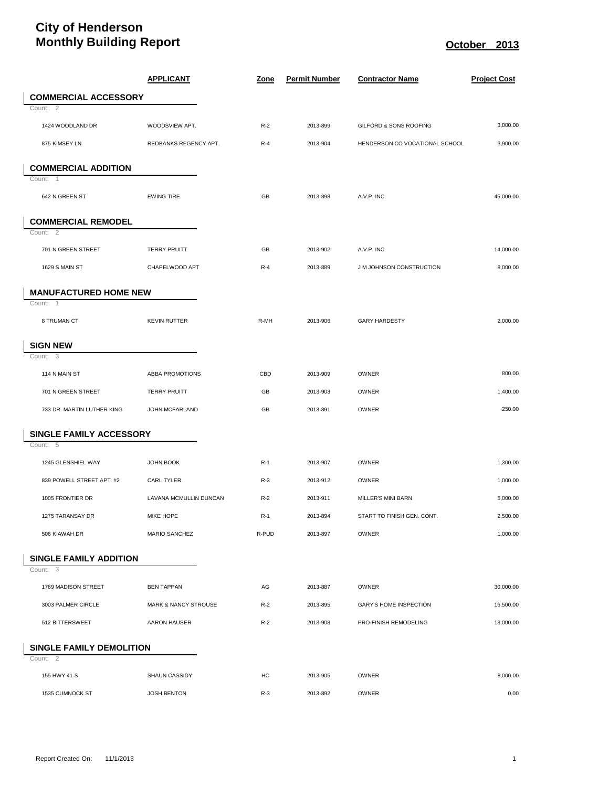## **City of Henderson Monthly Building Report Contract Contract Contract Contract Contract Contract Contract Contract Contract Contract Contract Contract Contract Contract Contract Contract Contract Contract Contract Contract Contract Contra**

|                                 | <b>APPLICANT</b>                | <u>Zone</u> | <b>Permit Number</b> | <b>Contractor Name</b>         | <b>Project Cost</b> |
|---------------------------------|---------------------------------|-------------|----------------------|--------------------------------|---------------------|
| <b>COMMERCIAL ACCESSORY</b>     |                                 |             |                      |                                |                     |
| Count: 2                        |                                 |             |                      |                                |                     |
| 1424 WOODLAND DR                | WOODSVIEW APT.                  | $R-2$       | 2013-899             | GILFORD & SONS ROOFING         | 3,000.00            |
| 875 KIMSEY LN                   | REDBANKS REGENCY APT.           | $R-4$       | 2013-904             | HENDERSON CO VOCATIONAL SCHOOL | 3,900.00            |
| <b>COMMERCIAL ADDITION</b>      |                                 |             |                      |                                |                     |
| Count: 1                        |                                 |             |                      |                                |                     |
| 642 N GREEN ST                  | <b>EWING TIRE</b>               | GB          | 2013-898             | A.V.P. INC.                    | 45,000.00           |
| <b>COMMERCIAL REMODEL</b>       |                                 |             |                      |                                |                     |
| Count: 2                        |                                 |             |                      |                                |                     |
| 701 N GREEN STREET              | <b>TERRY PRUITT</b>             | GB          | 2013-902             | A.V.P. INC.                    | 14,000.00           |
| 1629 S MAIN ST                  | CHAPELWOOD APT                  | $R-4$       | 2013-889             | J M JOHNSON CONSTRUCTION       | 8,000.00            |
| <b>MANUFACTURED HOME NEW</b>    |                                 |             |                      |                                |                     |
| Count: 1                        |                                 |             |                      |                                |                     |
| 8 TRUMAN CT                     | <b>KEVIN RUTTER</b>             | R-MH        | 2013-906             | <b>GARY HARDESTY</b>           | 2,000.00            |
| <b>SIGN NEW</b>                 |                                 |             |                      |                                |                     |
| Count: 3                        |                                 |             |                      |                                |                     |
| 114 N MAIN ST                   | <b>ABBA PROMOTIONS</b>          | CBD         | 2013-909             | <b>OWNER</b>                   | 800.00              |
| 701 N GREEN STREET              | <b>TERRY PRUITT</b>             | GB          | 2013-903             | <b>OWNER</b>                   | 1,400.00            |
| 733 DR. MARTIN LUTHER KING      | JOHN MCFARLAND                  | GB          | 2013-891             | <b>OWNER</b>                   | 250.00              |
| SINGLE FAMILY ACCESSORY         |                                 |             |                      |                                |                     |
| Count: 5                        |                                 |             |                      |                                |                     |
| 1245 GLENSHIEL WAY              | <b>JOHN BOOK</b>                | $R-1$       | 2013-907             | OWNER                          | 1,300.00            |
| 839 POWELL STREET APT. #2       | CARL TYLER                      | $R-3$       | 2013-912             | OWNER                          | 1,000.00            |
| 1005 FRONTIER DR                | LAVANA MCMULLIN DUNCAN          | $R-2$       | 2013-911             | MILLER'S MINI BARN             | 5,000.00            |
| 1275 TARANSAY DR                | MIKE HOPE                       | $R-1$       | 2013-894             | START TO FINISH GEN. CONT.     | 2,500.00            |
| 506 KIAWAH DR                   | <b>MARIO SANCHEZ</b>            | R-PUD       | 2013-897             | OWNER                          | 1,000.00            |
| <b>SINGLE FAMILY ADDITION</b>   |                                 |             |                      |                                |                     |
| Count: $\overline{3}$           |                                 |             |                      |                                |                     |
| 1769 MADISON STREET             | <b>BEN TAPPAN</b>               | AG          | 2013-887             | OWNER                          | 30,000.00           |
| 3003 PALMER CIRCLE              | <b>MARK &amp; NANCY STROUSE</b> | $R-2$       | 2013-895             | GARY'S HOME INSPECTION         | 16,500.00           |
| 512 BITTERSWEET                 | <b>AARON HAUSER</b>             | $R-2$       | 2013-908             | PRO-FINISH REMODELING          | 13,000.00           |
| <b>SINGLE FAMILY DEMOLITION</b> |                                 |             |                      |                                |                     |
| Count: 2                        |                                 |             |                      |                                |                     |
| 155 HWY 41 S                    | <b>SHAUN CASSIDY</b>            | HC          | 2013-905             | OWNER                          | 8,000.00            |
| 1535 CUMNOCK ST                 | JOSH BENTON                     | $R-3$       | 2013-892             | OWNER                          | 0.00                |